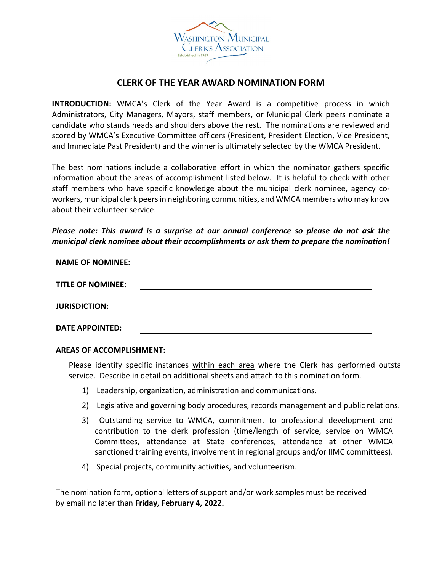

## **CLERK OF THE YEAR AWARD NOMINATION FORM**

**INTRODUCTION:** WMCA's Clerk of the Year Award is a competitive process in which Administrators, City Managers, Mayors, staff members, or Municipal Clerk peers nominate a candidate who stands heads and shoulders above the rest. The nominations are reviewed and scored by WMCA's Executive Committee officers (President, President Election, Vice President, and Immediate Past President) and the winner is ultimately selected by the WMCA President.

The best nominations include a collaborative effort in which the nominator gathers specific information about the areas of accomplishment listed below. It is helpful to check with other staff members who have specific knowledge about the municipal clerk nominee, agency coworkers, municipal clerk peers in neighboring communities, and WMCA members who may know about their volunteer service.

*Please note: This award is a surprise at our annual conference so please do not ask the municipal clerk nominee about their accomplishments or ask them to prepare the nomination!*

| <b>NAME OF NOMINEE:</b>  |  |
|--------------------------|--|
| <b>TITLE OF NOMINEE:</b> |  |
| <b>JURISDICTION:</b>     |  |
| <b>DATE APPOINTED:</b>   |  |

**AREAS OF ACCOMPLISHMENT:**

Please identify specific instances within each area where the Clerk has performed outsta service. Describe in detail on additional sheets and attach to this nomination form.

- 1) Leadership, organization, administration and communications.
- 2) Legislative and governing body procedures, records management and public relations.
- 3) Outstanding service to WMCA, commitment to professional development and contribution to the clerk profession (time/length of service, service on WMCA Committees, attendance at State conferences, attendance at other WMCA sanctioned training events, involvement in regional groups and/or IIMC committees).
- 4) Special projects, community activities, and volunteerism.

The nomination form, optional letters of support and/or work samples must be received by email no later than **Friday, February 4, 2022.**